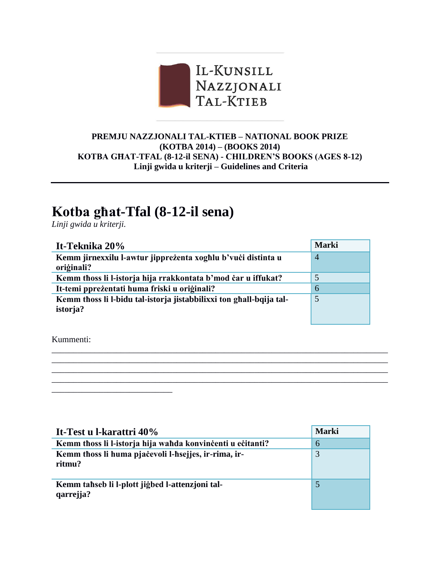

## **PREMJU NAZZJONALI TAL-KTIEB – NATIONAL BOOK PRIZE (KOTBA 2014) – (BOOKS 2014) KOTBA GĦAT-TFAL (8-12-il SENA) - CHILDREN'S BOOKS (AGES 8-12) Linji gwida u kriterji – Guidelines and Criteria**

## **Kotba għat-Tfal (8-12-il sena)**

*Linji gwida u kriterji.*

| It-Teknika 20%                                                      | <b>Marki</b>   |
|---------------------------------------------------------------------|----------------|
| Kemm jirnexxilu l-awtur jippreżenta xoghlu b'vući distinta u        | $\overline{A}$ |
| oriģinali?                                                          |                |
| Kemm thoss li l-istorja hija rrakkontata b'mod čar u iffukat?       | 5              |
| It-temi ppreżentati huma friski u originali?                        | 6              |
| Kemm thoss li l-bidu tal-istorja jistabbilixxi ton ghall-bqija tal- | 5              |
| istorja?                                                            |                |
|                                                                     |                |

\_\_\_\_\_\_\_\_\_\_\_\_\_\_\_\_\_\_\_\_\_\_\_\_\_\_\_\_\_\_\_\_\_\_\_\_\_\_\_\_\_\_\_\_\_\_\_\_\_\_\_\_\_\_\_\_\_\_\_\_\_\_\_\_\_\_\_\_\_\_\_\_\_\_\_\_\_\_ \_\_\_\_\_\_\_\_\_\_\_\_\_\_\_\_\_\_\_\_\_\_\_\_\_\_\_\_\_\_\_\_\_\_\_\_\_\_\_\_\_\_\_\_\_\_\_\_\_\_\_\_\_\_\_\_\_\_\_\_\_\_\_\_\_\_\_\_\_\_\_\_\_\_\_\_\_\_ \_\_\_\_\_\_\_\_\_\_\_\_\_\_\_\_\_\_\_\_\_\_\_\_\_\_\_\_\_\_\_\_\_\_\_\_\_\_\_\_\_\_\_\_\_\_\_\_\_\_\_\_\_\_\_\_\_\_\_\_\_\_\_\_\_\_\_\_\_\_\_\_\_\_\_\_\_\_ \_\_\_\_\_\_\_\_\_\_\_\_\_\_\_\_\_\_\_\_\_\_\_\_\_\_\_\_\_\_\_\_\_\_\_\_\_\_\_\_\_\_\_\_\_\_\_\_\_\_\_\_\_\_\_\_\_\_\_\_\_\_\_\_\_\_\_\_\_\_\_\_\_\_\_\_\_\_

Kummenti:

\_\_\_\_\_\_\_\_\_\_\_\_\_\_\_\_\_\_\_\_\_\_\_\_\_\_\_\_

| It-Test u l-karattri 40%                                       | <b>Marki</b> |
|----------------------------------------------------------------|--------------|
| Kemm thoss li l-istorja hija wahda konvinčenti u ečitanti?     | 6            |
| Kemm thoss li huma pjačevoli l-hsejjes, ir-rima, ir-<br>ritmu? | 3            |
| Kemm tahseb li l-plott jigbed l-attenzioni tal-<br>qarrejja?   | 5            |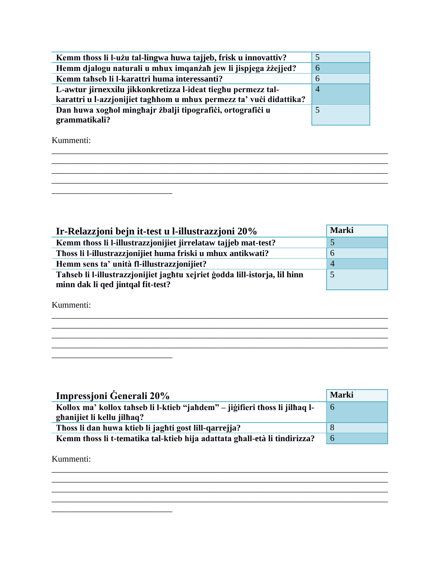| Kemm thoss li l-użu tal-lingwa huwa tajjeb, frisk u innovattiv?     | 5              |
|---------------------------------------------------------------------|----------------|
| Hemm djalogu naturali u mhux imqanzah jew li jispjega zizejjed?     | 6              |
| Kemm tahseb li l-karattri huma interessanti?                        | 6              |
| L-awtur jirnexxilu jikkonkretizza l-ideat tieghu permezz tal-       | $\overline{4}$ |
| karattri u l-azzjonijiet taghhom u mhux permezz ta' vući didattika? |                |
| Dan huwa xoghol minghajr żbalji tipografići, ortografići u          |                |
| grammatikali?                                                       |                |

Kummenti:

| Ir-Relazzjoni bejn it-test u l-illustrazzjoni 20%                          | <b>Marki</b> |
|----------------------------------------------------------------------------|--------------|
| Kemm thoss li l-illustrazzjonijiet jirrelataw tajjeb mat-test?             |              |
| Thoss li l-illustrazzjonijiet huma friski u mhux antikwati?                | $\mathbf 0$  |
| Hemm sens ta' unità fl-illustrazzjonijiet?                                 | 4            |
| Tahseb li l-illustrazzjonijiet jaghtu xejriet godda lill-istorja, lil hinn |              |
| minn dak li qed jintqal fit-test?                                          |              |

and the control of the control of the control of the control of the control of the control of the control of the

<u> 1989 - Johann Stoff, amerikansk politiker (d. 1989)</u>

Kummenti:

<u> 1989 - Johann Barn, mars ar breithinn ar breithinn ar breithinn ar breithinn ar breithinn ar breithinn ar br</u>

<u> 1989 - Johann Harry Harry Harry Harry Harry Harry Harry Harry Harry Harry Harry Harry Harry Harry Harry Harry</u>

 $\overline{\phantom{a}}$ 

| Impressioni Generali 20%                                                                                  | <b>Marki</b> |
|-----------------------------------------------------------------------------------------------------------|--------------|
| Kollox ma' kollox tahseb li l-ktieb "jahdem" – jiğifieri thoss li jilhaq l-<br>ghanijiet li kellu jilhaq? | 6            |
| Thoss li dan huwa ktieb li jaghti gost lill-qarrejja?                                                     | 8            |
| Kemm thoss li t-tematika tal-ktieb hija adattata ghall-età li tindirizza?                                 | 6            |

Kummenti: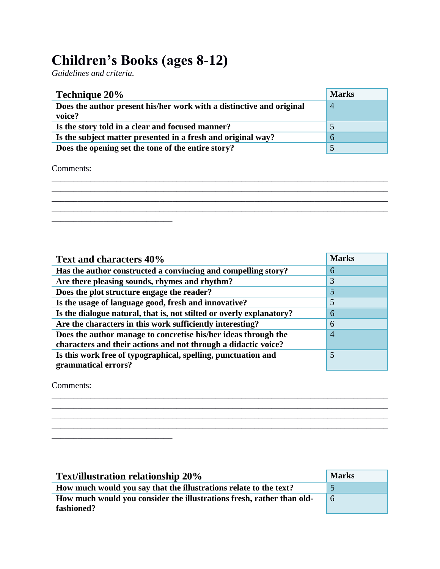## **Children's Books (ages 8-12)**

*Guidelines and criteria.*

| <b>Technique 20%</b>                                                           | <b>Marks</b>   |
|--------------------------------------------------------------------------------|----------------|
| Does the author present his/her work with a distinctive and original<br>voice? | $\overline{4}$ |
| Is the story told in a clear and focused manner?                               |                |
| Is the subject matter presented in a fresh and original way?                   | h              |
| Does the opening set the tone of the entire story?                             |                |

Comments:

| Text and characters 40%                                              | <b>Marks</b>   |
|----------------------------------------------------------------------|----------------|
| Has the author constructed a convincing and compelling story?        | 6              |
| Are there pleasing sounds, rhymes and rhythm?                        | 3              |
| Does the plot structure engage the reader?                           | 5              |
| Is the usage of language good, fresh and innovative?                 | 5              |
| Is the dialogue natural, that is, not stilted or overly explanatory? | 6              |
| Are the characters in this work sufficiently interesting?            | 6              |
| Does the author manage to concretise his/her ideas through the       | $\overline{4}$ |
| characters and their actions and not through a didactic voice?       |                |
| Is this work free of typographical, spelling, punctuation and        | 5              |
| grammatical errors?                                                  |                |

\_\_\_\_\_\_\_\_\_\_\_\_\_\_\_\_\_\_\_\_\_\_\_\_\_\_\_\_\_\_\_\_\_\_\_\_\_\_\_\_\_\_\_\_\_\_\_\_\_\_\_\_\_\_\_\_\_\_\_\_\_\_\_\_\_\_\_\_\_\_\_\_\_\_\_\_\_\_ \_\_\_\_\_\_\_\_\_\_\_\_\_\_\_\_\_\_\_\_\_\_\_\_\_\_\_\_\_\_\_\_\_\_\_\_\_\_\_\_\_\_\_\_\_\_\_\_\_\_\_\_\_\_\_\_\_\_\_\_\_\_\_\_\_\_\_\_\_\_\_\_\_\_\_\_\_\_ \_\_\_\_\_\_\_\_\_\_\_\_\_\_\_\_\_\_\_\_\_\_\_\_\_\_\_\_\_\_\_\_\_\_\_\_\_\_\_\_\_\_\_\_\_\_\_\_\_\_\_\_\_\_\_\_\_\_\_\_\_\_\_\_\_\_\_\_\_\_\_\_\_\_\_\_\_\_ \_\_\_\_\_\_\_\_\_\_\_\_\_\_\_\_\_\_\_\_\_\_\_\_\_\_\_\_\_\_\_\_\_\_\_\_\_\_\_\_\_\_\_\_\_\_\_\_\_\_\_\_\_\_\_\_\_\_\_\_\_\_\_\_\_\_\_\_\_\_\_\_\_\_\_\_\_\_

Comments:

\_\_\_\_\_\_\_\_\_\_\_\_\_\_\_\_\_\_\_\_\_\_\_\_\_\_\_\_

| <b>Text/illustration relationship 20%</b>                             | <b>Marks</b> |
|-----------------------------------------------------------------------|--------------|
| How much would you say that the illustrations relate to the text?     |              |
| How much would you consider the illustrations fresh, rather than old- | 6            |
| fashioned?                                                            |              |